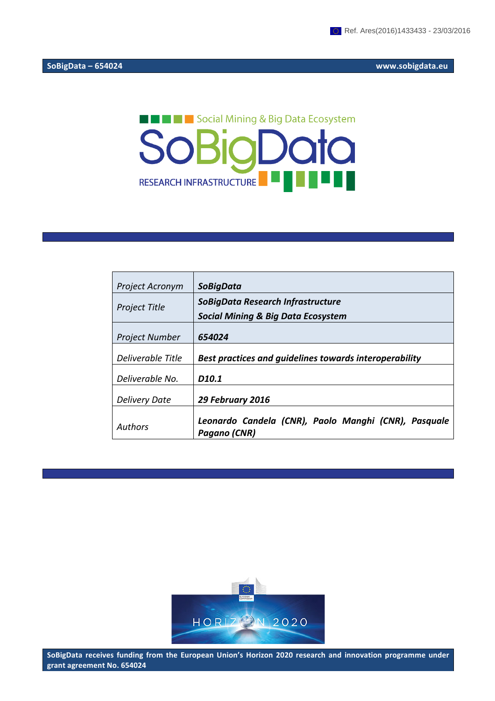# **THE RESP. Social Mining & Big Data Ecosystem** SoBigData RESEARCH INFRASTRUCTURE

| <b>Project Acronym</b> | <b>SoBigData</b>                                                     |
|------------------------|----------------------------------------------------------------------|
| <b>Project Title</b>   | SoBigData Research Infrastructure                                    |
|                        | <b>Social Mining &amp; Big Data Ecosystem</b>                        |
| <b>Project Number</b>  | 654024                                                               |
| Deliverable Title      | Best practices and quidelines towards interoperability               |
| Deliverable No.        | D <sub>10.1</sub>                                                    |
| <b>Delivery Date</b>   | 29 February 2016                                                     |
| <b>Authors</b>         | Leonardo Candela (CNR), Paolo Manghi (CNR), Pasquale<br>Pagano (CNR) |



SoBigData receives funding from the European Union's Horizon 2020 research and innovation programme under **grant agreement No. 654024**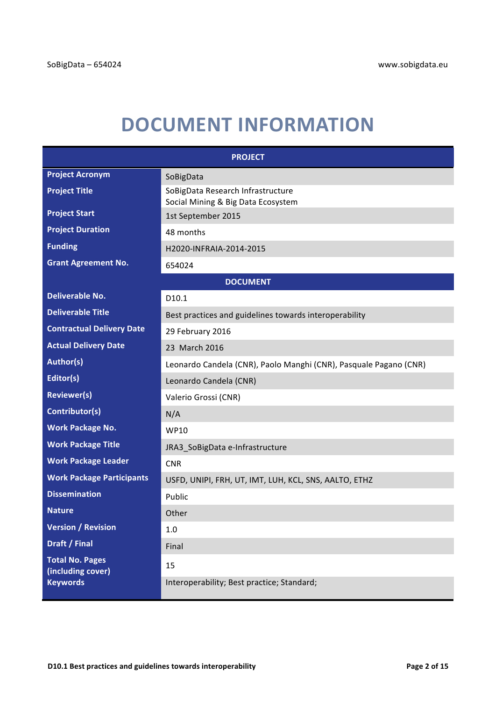# **DOCUMENT INFORMATION**

| <b>PROJECT</b>                              |                                                                         |  |  |  |
|---------------------------------------------|-------------------------------------------------------------------------|--|--|--|
| <b>Project Acronym</b>                      | SoBigData                                                               |  |  |  |
| <b>Project Title</b>                        | SoBigData Research Infrastructure<br>Social Mining & Big Data Ecosystem |  |  |  |
| <b>Project Start</b>                        | 1st September 2015                                                      |  |  |  |
| <b>Project Duration</b>                     | 48 months                                                               |  |  |  |
| <b>Funding</b>                              | H2020-INFRAIA-2014-2015                                                 |  |  |  |
| <b>Grant Agreement No.</b>                  | 654024                                                                  |  |  |  |
| <b>DOCUMENT</b>                             |                                                                         |  |  |  |
| <b>Deliverable No.</b>                      | D10.1                                                                   |  |  |  |
| <b>Deliverable Title</b>                    | Best practices and guidelines towards interoperability                  |  |  |  |
| <b>Contractual Delivery Date</b>            | 29 February 2016                                                        |  |  |  |
| <b>Actual Delivery Date</b>                 | 23 March 2016                                                           |  |  |  |
| Author(s)                                   | Leonardo Candela (CNR), Paolo Manghi (CNR), Pasquale Pagano (CNR)       |  |  |  |
| Editor(s)                                   | Leonardo Candela (CNR)                                                  |  |  |  |
| <b>Reviewer(s)</b>                          | Valerio Grossi (CNR)                                                    |  |  |  |
| Contributor(s)                              | N/A                                                                     |  |  |  |
| <b>Work Package No.</b>                     | <b>WP10</b>                                                             |  |  |  |
| <b>Work Package Title</b>                   | JRA3_SoBigData e-Infrastructure                                         |  |  |  |
| <b>Work Package Leader</b>                  | <b>CNR</b>                                                              |  |  |  |
| <b>Work Package Participants</b>            | USFD, UNIPI, FRH, UT, IMT, LUH, KCL, SNS, AALTO, ETHZ                   |  |  |  |
| <b>Dissemination</b>                        | Public                                                                  |  |  |  |
| <b>Nature</b>                               | Other                                                                   |  |  |  |
| <b>Version / Revision</b>                   | 1.0                                                                     |  |  |  |
| <b>Draft / Final</b>                        | Final                                                                   |  |  |  |
| <b>Total No. Pages</b><br>(including cover) | 15                                                                      |  |  |  |
| <b>Keywords</b>                             | Interoperability; Best practice; Standard;                              |  |  |  |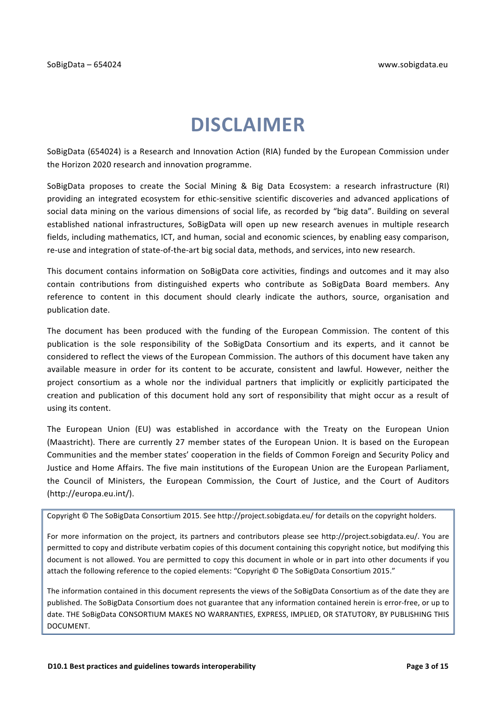## **DISCLAIMER**

SoBigData (654024) is a Research and Innovation Action (RIA) funded by the European Commission under the Horizon 2020 research and innovation programme.

SoBigData proposes to create the Social Mining & Big Data Ecosystem: a research infrastructure (RI) providing an integrated ecosystem for ethic-sensitive scientific discoveries and advanced applications of social data mining on the various dimensions of social life, as recorded by "big data". Building on several established national infrastructures, SoBigData will open up new research avenues in multiple research fields, including mathematics, ICT, and human, social and economic sciences, by enabling easy comparison, re-use and integration of state-of-the-art big social data, methods, and services, into new research.

This document contains information on SoBigData core activities, findings and outcomes and it may also contain contributions from distinguished experts who contribute as SoBigData Board members. Any reference to content in this document should clearly indicate the authors, source, organisation and publication date.

The document has been produced with the funding of the European Commission. The content of this publication is the sole responsibility of the SoBigData Consortium and its experts, and it cannot be considered to reflect the views of the European Commission. The authors of this document have taken any available measure in order for its content to be accurate, consistent and lawful. However, neither the project consortium as a whole nor the individual partners that implicitly or explicitly participated the creation and publication of this document hold any sort of responsibility that might occur as a result of using its content.

The European Union (EU) was established in accordance with the Treaty on the European Union (Maastricht). There are currently 27 member states of the European Union. It is based on the European Communities and the member states' cooperation in the fields of Common Foreign and Security Policy and Justice and Home Affairs. The five main institutions of the European Union are the European Parliament, the Council of Ministers, the European Commission, the Court of Justice, and the Court of Auditors (http://europa.eu.int/).

Copyright © The SoBigData Consortium 2015. See http://project.sobigdata.eu/ for details on the copyright holders.

For more information on the project, its partners and contributors please see http://project.sobigdata.eu/. You are permitted to copy and distribute verbatim copies of this document containing this copyright notice, but modifying this document is not allowed. You are permitted to copy this document in whole or in part into other documents if you attach the following reference to the copied elements: "Copyright © The SoBigData Consortium 2015."

The information contained in this document represents the views of the SoBigData Consortium as of the date they are published. The SoBigData Consortium does not guarantee that any information contained herein is error-free, or up to date. THE SoBigData CONSORTIUM MAKES NO WARRANTIES, EXPRESS, IMPLIED, OR STATUTORY, BY PUBLISHING THIS DOCUMENT.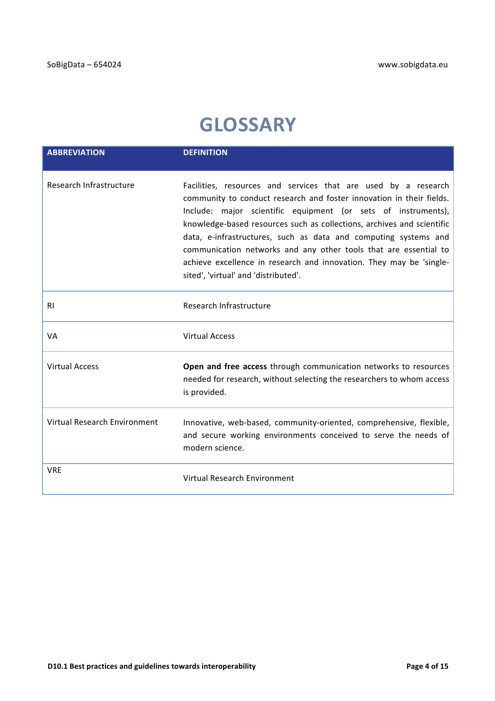# **GLOSSARY**

| <b>ABBREVIATION</b>          | <b>DEFINITION</b>                                                                                                                                                                                                                                                                                                                                                                                                                                                                                                                       |
|------------------------------|-----------------------------------------------------------------------------------------------------------------------------------------------------------------------------------------------------------------------------------------------------------------------------------------------------------------------------------------------------------------------------------------------------------------------------------------------------------------------------------------------------------------------------------------|
| Research Infrastructure      | Facilities, resources and services that are used by a research<br>community to conduct research and foster innovation in their fields.<br>Include: major scientific equipment (or sets of instruments),<br>knowledge-based resources such as collections, archives and scientific<br>data, e-infrastructures, such as data and computing systems and<br>communication networks and any other tools that are essential to<br>achieve excellence in research and innovation. They may be 'single-<br>sited', 'virtual' and 'distributed'. |
| <b>RI</b>                    | Research Infrastructure                                                                                                                                                                                                                                                                                                                                                                                                                                                                                                                 |
| VA                           | <b>Virtual Access</b>                                                                                                                                                                                                                                                                                                                                                                                                                                                                                                                   |
| <b>Virtual Access</b>        | Open and free access through communication networks to resources<br>needed for research, without selecting the researchers to whom access<br>is provided.                                                                                                                                                                                                                                                                                                                                                                               |
| Virtual Research Environment | Innovative, web-based, community-oriented, comprehensive, flexible,<br>and secure working environments conceived to serve the needs of<br>modern science.                                                                                                                                                                                                                                                                                                                                                                               |
| <b>VRE</b>                   | Virtual Research Environment                                                                                                                                                                                                                                                                                                                                                                                                                                                                                                            |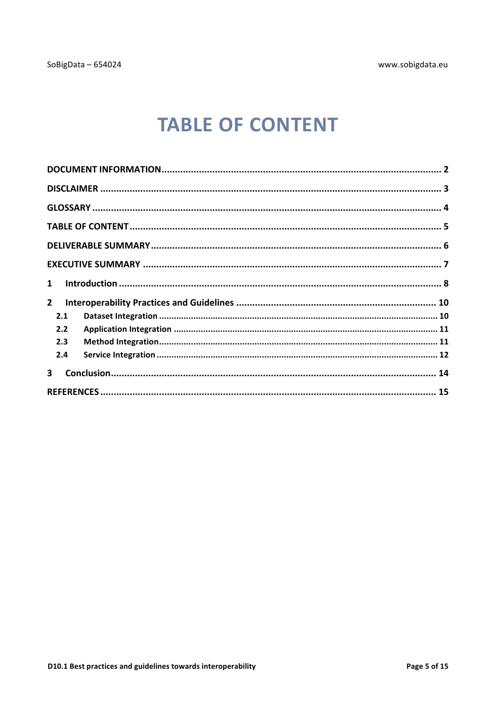# **TABLE OF CONTENT**

| $\mathbf{1}$            |  |
|-------------------------|--|
| $\mathbf{2}$            |  |
| 2.1                     |  |
| 2.2                     |  |
| 2.3                     |  |
| 2.4                     |  |
| $\overline{\mathbf{3}}$ |  |
|                         |  |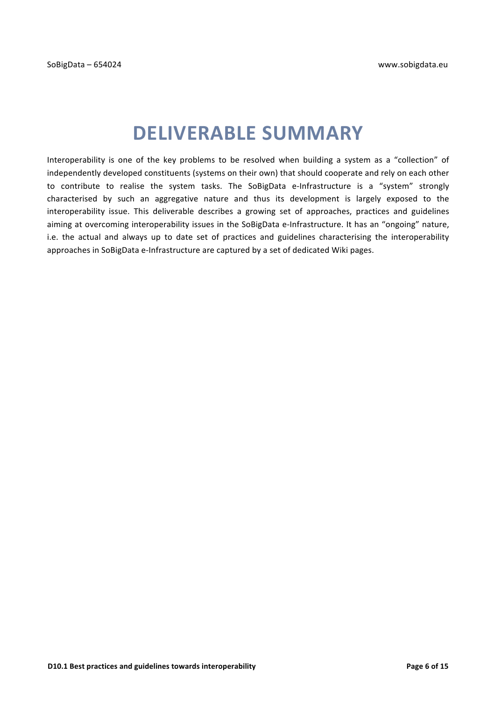# **DELIVERABLE SUMMARY**

Interoperability is one of the key problems to be resolved when building a system as a "collection" of independently developed constituents (systems on their own) that should cooperate and rely on each other to contribute to realise the system tasks. The SoBigData e-Infrastructure is a "system" strongly characterised by such an aggregative nature and thus its development is largely exposed to the interoperability issue. This deliverable describes a growing set of approaches, practices and guidelines aiming at overcoming interoperability issues in the SoBigData e-Infrastructure. It has an "ongoing" nature, i.e. the actual and always up to date set of practices and guidelines characterising the interoperability approaches in SoBigData e-Infrastructure are captured by a set of dedicated Wiki pages.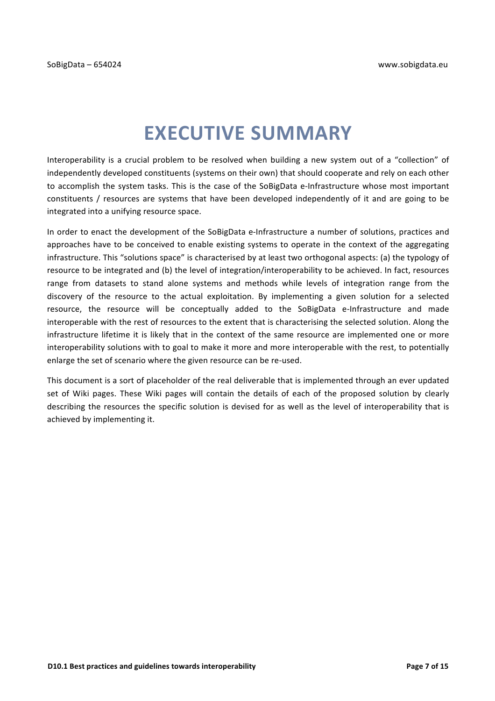# **EXECUTIVE SUMMARY**

Interoperability is a crucial problem to be resolved when building a new system out of a "collection" of independently developed constituents (systems on their own) that should cooperate and rely on each other to accomplish the system tasks. This is the case of the SoBigData e-Infrastructure whose most important constituents / resources are systems that have been developed independently of it and are going to be integrated into a unifying resource space.

In order to enact the development of the SoBigData e-Infrastructure a number of solutions, practices and approaches have to be conceived to enable existing systems to operate in the context of the aggregating infrastructure. This "solutions space" is characterised by at least two orthogonal aspects: (a) the typology of resource to be integrated and (b) the level of integration/interoperability to be achieved. In fact, resources range from datasets to stand alone systems and methods while levels of integration range from the discovery of the resource to the actual exploitation. By implementing a given solution for a selected resource, the resource will be conceptually added to the SoBigData e-Infrastructure and made interoperable with the rest of resources to the extent that is characterising the selected solution. Along the infrastructure lifetime it is likely that in the context of the same resource are implemented one or more interoperability solutions with to goal to make it more and more interoperable with the rest, to potentially enlarge the set of scenario where the given resource can be re-used.

This document is a sort of placeholder of the real deliverable that is implemented through an ever updated set of Wiki pages. These Wiki pages will contain the details of each of the proposed solution by clearly describing the resources the specific solution is devised for as well as the level of interoperability that is achieved by implementing it.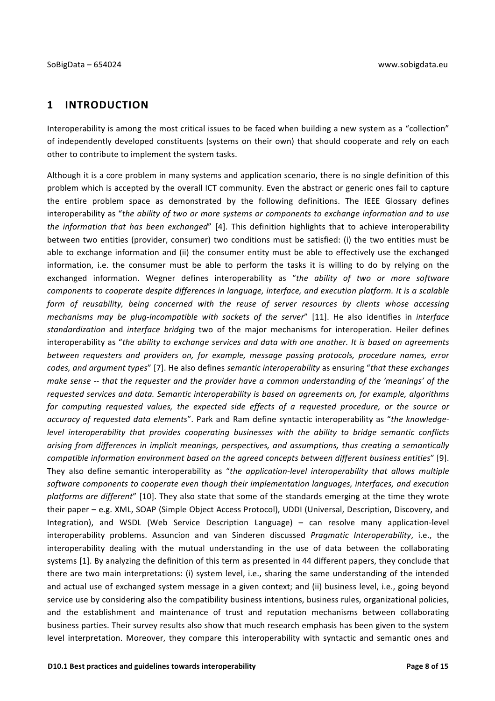### **1 INTRODUCTION**

Interoperability is among the most critical issues to be faced when building a new system as a "collection" of independently developed constituents (systems on their own) that should cooperate and rely on each other to contribute to implement the system tasks.

Although it is a core problem in many systems and application scenario, there is no single definition of this problem which is accepted by the overall ICT community. Even the abstract or generic ones fail to capture the entire problem space as demonstrated by the following definitions. The IEEE Glossary defines interoperability as "the ability of two or more systems or components to exchange information and to use *the information that has been exchanged*" [4]. This definition highlights that to achieve interoperability between two entities (provider, consumer) two conditions must be satisfied: (i) the two entities must be able to exchange information and (ii) the consumer entity must be able to effectively use the exchanged information, i.e. the consumer must be able to perform the tasks it is willing to do by relying on the exchanged information. Wegner defines interoperability as "the ability of two or more software *components to cooperate despite differences in language, interface, and execution platform. It is a scalable form* of reusability, being concerned with the reuse of server resources by clients whose accessing *mechanisms may be plug-incompatible with sockets of the server"* [11]. He also identifies in *interface standardization* and *interface bridging* two of the major mechanisms for interoperation. Heiler defines interoperability as "the ability to exchange services and data with one another. It is based on agreements *between requesters and providers on, for example, message passing protocols, procedure names, error codes, and argument types"* [7]. He also defines *semantic interoperability* as ensuring "that these exchanges *make sense* -- that the requester and the provider have a common understanding of the 'meanings' of the requested services and data. Semantic interoperability is based on agreements on, for example, algorithms *for* computing requested values, the expected side effects of a requested procedure, or the source or accuracy of requested data elements". Park and Ram define syntactic interoperability as "the knowledge*level interoperability that provides cooperating businesses with the ability to bridge semantic conflicts* arising from differences in implicit meanings, perspectives, and assumptions, thus creating a semantically *compatible information environment based on the agreed concepts between different business entities*" [9]. They also define semantic interoperability as "the application-level interoperability that allows multiple software components to cooperate even though their implementation languages, interfaces, and execution *platforms are different*" [10]. They also state that some of the standards emerging at the time they wrote their paper – e.g. XML, SOAP (Simple Object Access Protocol), UDDI (Universal, Description, Discovery, and Integration), and WSDL (Web Service Description Language) – can resolve many application-level interoperability problems. Assuncion and van Sinderen discussed *Pragmatic Interoperability*, i.e., the interoperability dealing with the mutual understanding in the use of data between the collaborating systems [1]. By analyzing the definition of this term as presented in 44 different papers, they conclude that there are two main interpretations: (i) system level, i.e., sharing the same understanding of the intended and actual use of exchanged system message in a given context; and (ii) business level, i.e., going beyond service use by considering also the compatibility business intentions, business rules, organizational policies, and the establishment and maintenance of trust and reputation mechanisms between collaborating business parties. Their survey results also show that much research emphasis has been given to the system level interpretation. Moreover, they compare this interoperability with syntactic and semantic ones and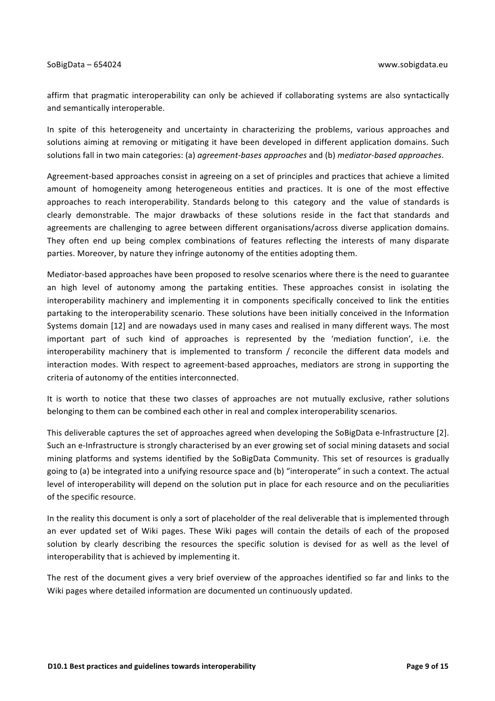affirm that pragmatic interoperability can only be achieved if collaborating systems are also syntactically and semantically interoperable.

In spite of this heterogeneity and uncertainty in characterizing the problems, various approaches and solutions aiming at removing or mitigating it have been developed in different application domains. Such solutions fall in two main categories: (a) *agreement-bases approaches* and (b) *mediator-based approaches*.

Agreement-based approaches consist in agreeing on a set of principles and practices that achieve a limited amount of homogeneity among heterogeneous entities and practices. It is one of the most effective approaches to reach interoperability. Standards belong to this category and the value of standards is clearly demonstrable. The major drawbacks of these solutions reside in the fact that standards and agreements are challenging to agree between different organisations/across diverse application domains. They often end up being complex combinations of features reflecting the interests of many disparate parties. Moreover, by nature they infringe autonomy of the entities adopting them. 

Mediator-based approaches have been proposed to resolve scenarios where there is the need to guarantee an high level of autonomy among the partaking entities. These approaches consist in isolating the interoperability machinery and implementing it in components specifically conceived to link the entities partaking to the interoperability scenario. These solutions have been initially conceived in the Information Systems domain [12] and are nowadays used in many cases and realised in many different ways. The most important part of such kind of approaches is represented by the 'mediation function', i.e. the interoperability machinery that is implemented to transform / reconcile the different data models and interaction modes. With respect to agreement-based approaches, mediators are strong in supporting the criteria of autonomy of the entities interconnected.

It is worth to notice that these two classes of approaches are not mutually exclusive, rather solutions belonging to them can be combined each other in real and complex interoperability scenarios.

This deliverable captures the set of approaches agreed when developing the SoBigData e-Infrastructure [2]. Such an e-Infrastructure is strongly characterised by an ever growing set of social mining datasets and social mining platforms and systems identified by the SoBigData Community. This set of resources is gradually going to (a) be integrated into a unifying resource space and (b) "interoperate" in such a context. The actual level of interoperability will depend on the solution put in place for each resource and on the peculiarities of the specific resource.

In the reality this document is only a sort of placeholder of the real deliverable that is implemented through an ever updated set of Wiki pages. These Wiki pages will contain the details of each of the proposed solution by clearly describing the resources the specific solution is devised for as well as the level of interoperability that is achieved by implementing it.

The rest of the document gives a very brief overview of the approaches identified so far and links to the Wiki pages where detailed information are documented un continuously updated.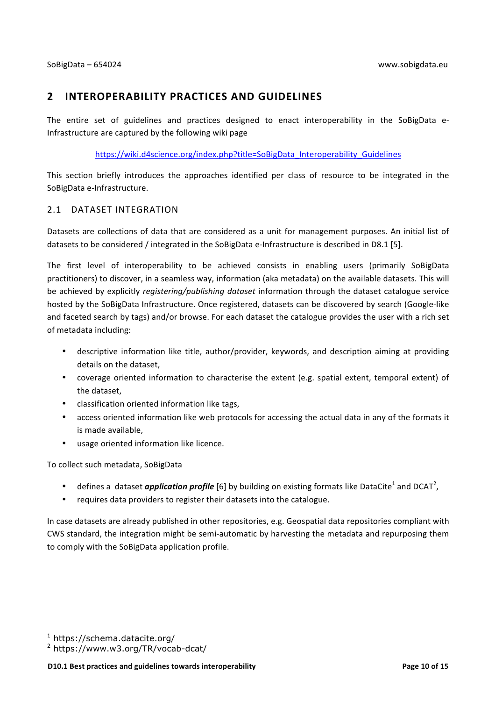### **2 INTEROPERABILITY PRACTICES AND GUIDELINES**

The entire set of guidelines and practices designed to enact interoperability in the SoBigData e-Infrastructure are captured by the following wiki page

https://wiki.d4science.org/index.php?title=SoBigData\_Interoperability\_Guidelines

This section briefly introduces the approaches identified per class of resource to be integrated in the SoBigData e-Infrastructure.

#### 2.1 DATASET INTEGRATION

Datasets are collections of data that are considered as a unit for management purposes. An initial list of datasets to be considered / integrated in the SoBigData e-Infrastructure is described in D8.1 [5].

The first level of interoperability to be achieved consists in enabling users (primarily SoBigData practitioners) to discover, in a seamless way, information (aka metadata) on the available datasets. This will be achieved by explicitly *registering/publishing dataset* information through the dataset catalogue service hosted by the SoBigData Infrastructure. Once registered, datasets can be discovered by search (Google-like and faceted search by tags) and/or browse. For each dataset the catalogue provides the user with a rich set of metadata including:

- descriptive information like title, author/provider, keywords, and description aiming at providing details on the dataset,
- coverage oriented information to characterise the extent (e.g. spatial extent, temporal extent) of the dataset.
- classification oriented information like tags,
- access oriented information like web protocols for accessing the actual data in any of the formats it is made available,
- usage oriented information like licence.

To collect such metadata, SoBigData

- defines a dataset *application profile* [6] by building on existing formats like DataCite<sup>1</sup> and DCAT<sup>2</sup>,
- requires data providers to register their datasets into the catalogue.

In case datasets are already published in other repositories, e.g. Geospatial data repositories compliant with CWS standard, the integration might be semi-automatic by harvesting the metadata and repurposing them to comply with the SoBigData application profile.

<u> 1989 - Jan Samuel Barbara, margaret e</u>

<sup>1</sup> https://schema.datacite.org/

<sup>2</sup> https://www.w3.org/TR/vocab-dcat/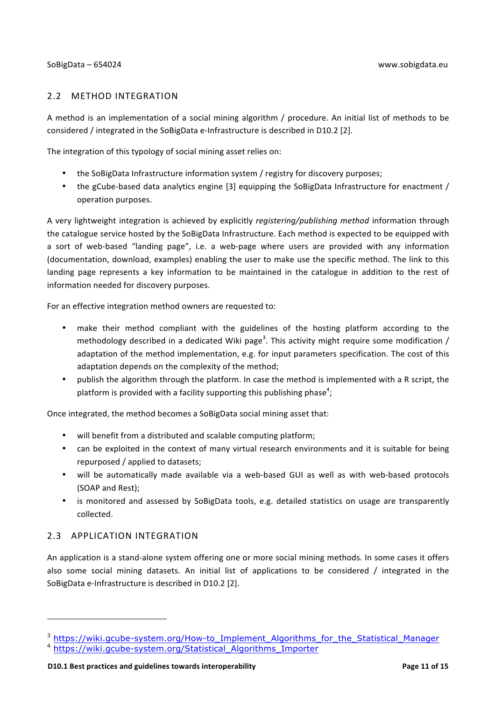#### 2.2 METHOD INTEGRATION

A method is an implementation of a social mining algorithm / procedure. An initial list of methods to be considered / integrated in the SoBigData e-Infrastructure is described in D10.2 [2].

The integration of this typology of social mining asset relies on:

- the SoBigData Infrastructure information system / registry for discovery purposes;
- the gCube-based data analytics engine [3] equipping the SoBigData Infrastructure for enactment / operation purposes.

A very lightweight integration is achieved by explicitly *registering/publishing method* information through the catalogue service hosted by the SoBigData Infrastructure. Each method is expected to be equipped with a sort of web-based "landing page", i.e. a web-page where users are provided with any information (documentation, download, examples) enabling the user to make use the specific method. The link to this landing page represents a key information to be maintained in the catalogue in addition to the rest of information needed for discovery purposes.

For an effective integration method owners are requested to:

- make their method compliant with the guidelines of the hosting platform according to the methodology described in a dedicated Wiki page<sup>3</sup>. This activity might require some modification / adaptation of the method implementation, e.g. for input parameters specification. The cost of this adaptation depends on the complexity of the method;
- publish the algorithm through the platform. In case the method is implemented with a R script, the platform is provided with a facility supporting this publishing phase<sup>4</sup>;

Once integrated, the method becomes a SoBigData social mining asset that:

- will benefit from a distributed and scalable computing platform;
- can be exploited in the context of many virtual research environments and it is suitable for being repurposed / applied to datasets;
- will be automatically made available via a web-based GUI as well as with web-based protocols (SOAP and Rest):
- is monitored and assessed by SoBigData tools, e.g. detailed statistics on usage are transparently collected.

### 2.3 APPLICATION INTEGRATION

<u> 1989 - Jan Samuel Barbara, margaret e</u>

An application is a stand-alone system offering one or more social mining methods. In some cases it offers also some social mining datasets. An initial list of applications to be considered / integrated in the SoBigData e-Infrastructure is described in D10.2 [2].

<sup>&</sup>lt;sup>3</sup> https://wiki.gcube-system.org/How-to\_Implement\_Algorithms\_for\_the\_Statistical\_Manager

<sup>4</sup> https://wiki.gcube-system.org/Statistical\_Algorithms\_Importer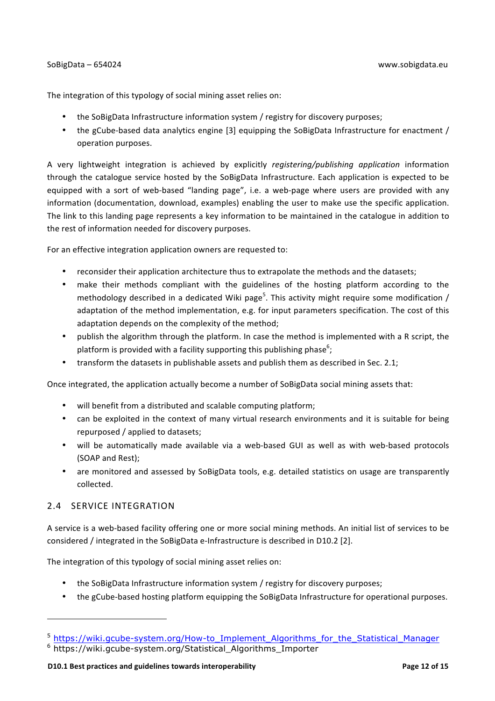#### SoBigData – 654024 www.sobigdata.eu

The integration of this typology of social mining asset relies on:

- the SoBigData Infrastructure information system / registry for discovery purposes;
- the gCube-based data analytics engine [3] equipping the SoBigData Infrastructure for enactment / operation purposes.

A very lightweight integration is achieved by explicitly *registering/publishing application* information through the catalogue service hosted by the SoBigData Infrastructure. Each application is expected to be equipped with a sort of web-based "landing page", i.e. a web-page where users are provided with any information (documentation, download, examples) enabling the user to make use the specific application. The link to this landing page represents a key information to be maintained in the catalogue in addition to the rest of information needed for discovery purposes.

For an effective integration application owners are requested to:

- reconsider their application architecture thus to extrapolate the methods and the datasets;
- make their methods compliant with the guidelines of the hosting platform according to the methodology described in a dedicated Wiki page<sup>5</sup>. This activity might require some modification / adaptation of the method implementation, e.g. for input parameters specification. The cost of this adaptation depends on the complexity of the method;
- publish the algorithm through the platform. In case the method is implemented with a R script, the platform is provided with a facility supporting this publishing phase $^6$ ;
- transform the datasets in publishable assets and publish them as described in Sec. 2.1;

Once integrated, the application actually become a number of SoBigData social mining assets that:

- will benefit from a distributed and scalable computing platform;
- can be exploited in the context of many virtual research environments and it is suitable for being repurposed / applied to datasets;
- will be automatically made available via a web-based GUI as well as with web-based protocols (SOAP and Rest);
- are monitored and assessed by SoBigData tools, e.g. detailed statistics on usage are transparently collected.

### 2.4 SERVICE INTEGRATION

<u> 1989 - Jan Samuel Barbara, margaret e</u>

A service is a web-based facility offering one or more social mining methods. An initial list of services to be considered / integrated in the SoBigData e-Infrastructure is described in D10.2 [2].

The integration of this typology of social mining asset relies on:

- the SoBigData Infrastructure information system / registry for discovery purposes;
- the gCube-based hosting platform equipping the SoBigData Infrastructure for operational purposes.

<sup>5</sup> https://wiki.gcube-system.org/How-to\_Implement\_Algorithms\_for\_the\_Statistical\_Manager

<sup>6</sup> https://wiki.gcube-system.org/Statistical\_Algorithms\_Importer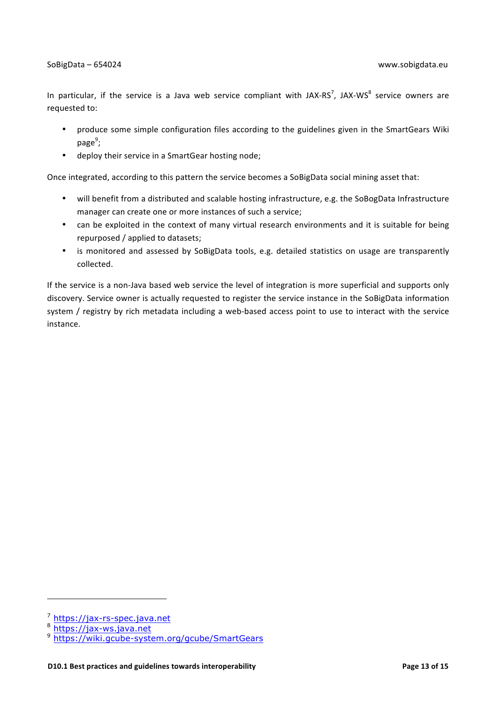In particular, if the service is a Java web service compliant with JAX-RS<sup>7</sup>, JAX-WS<sup>8</sup> service owners are requested to:

- produce some simple configuration files according to the guidelines given in the SmartGears Wiki page<sup>9</sup>;
- deploy their service in a SmartGear hosting node;

Once integrated, according to this pattern the service becomes a SoBigData social mining asset that:

- will benefit from a distributed and scalable hosting infrastructure, e.g. the SoBogData Infrastructure manager can create one or more instances of such a service;
- can be exploited in the context of many virtual research environments and it is suitable for being repurposed / applied to datasets;
- is monitored and assessed by SoBigData tools, e.g. detailed statistics on usage are transparently collected.

If the service is a non-Java based web service the level of integration is more superficial and supports only discovery. Service owner is actually requested to register the service instance in the SoBigData information system / registry by rich metadata including a web-based access point to use to interact with the service instance. 

<u> 1989 - Jan Samuel Barbara, margaret e</u>

 $\frac{7}{8}$  https://jax-rs-spec.java.net

https://jax-ws.java.net

<sup>9</sup> https://wiki.gcube-system.org/gcube/SmartGears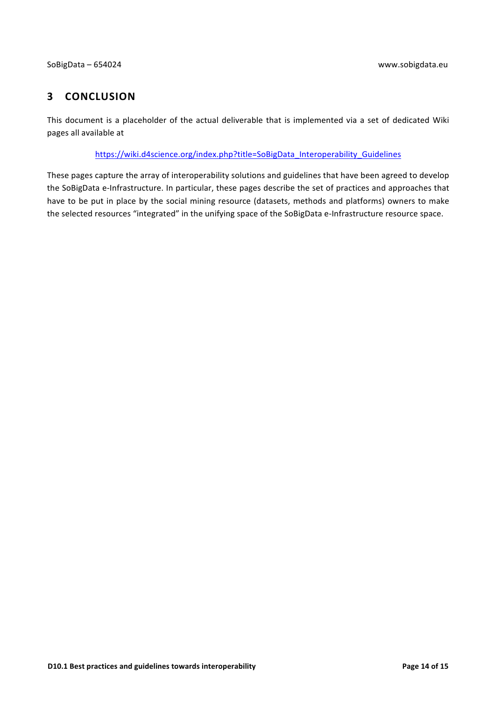### **3 CONCLUSION**

This document is a placeholder of the actual deliverable that is implemented via a set of dedicated Wiki pages all available at

https://wiki.d4science.org/index.php?title=SoBigData\_Interoperability\_Guidelines

These pages capture the array of interoperability solutions and guidelines that have been agreed to develop the SoBigData e-Infrastructure. In particular, these pages describe the set of practices and approaches that have to be put in place by the social mining resource (datasets, methods and platforms) owners to make the selected resources "integrated" in the unifying space of the SoBigData e-Infrastructure resource space.